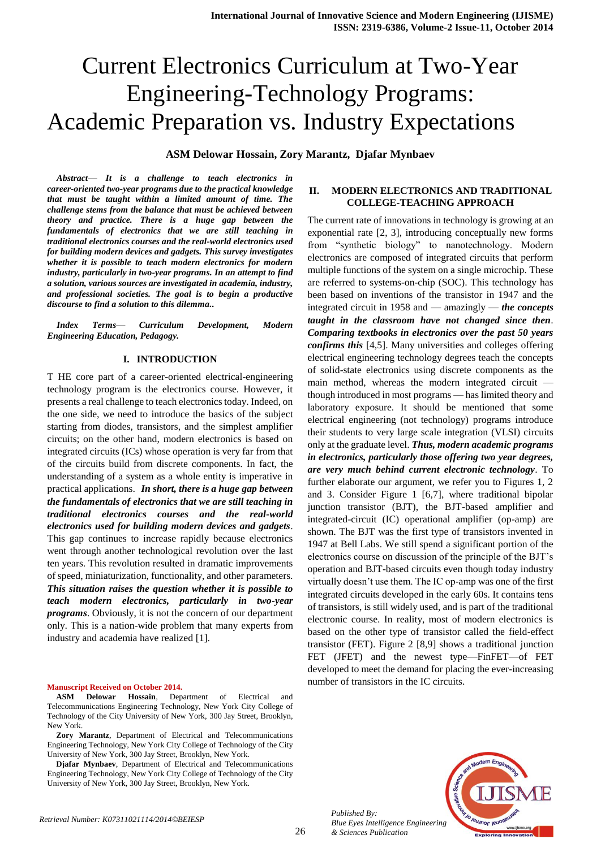# Current Electronics Curriculum at Two-Year Engineering-Technology Programs: Academic Preparation vs. Industry Expectations

**ASM Delowar Hossain, Zory Marantz,****Djafar Mynbaev** 

*Abstract— It is a challenge to teach electronics in career-oriented two-year programs due to the practical knowledge that must be taught within a limited amount of time. The challenge stems from the balance that must be achieved between theory and practice. There is a huge gap between the fundamentals of electronics that we are still teaching in traditional electronics courses and the real-world electronics used for building modern devices and gadgets. This survey investigates whether it is possible to teach modern electronics for modern industry, particularly in two-year programs. In an attempt to find a solution, various sources are investigated in academia, industry, and professional societies. The goal is to begin a productive discourse to find a solution to this dilemma..*

*Index Terms— Curriculum Development, Modern Engineering Education, Pedagogy.*

## **I. INTRODUCTION**

T HE core part of a career-oriented electrical-engineering technology program is the electronics course. However, it presents a real challenge to teach electronics today. Indeed, on the one side, we need to introduce the basics of the subject starting from diodes, transistors, and the simplest amplifier circuits; on the other hand, modern electronics is based on integrated circuits (ICs) whose operation is very far from that of the circuits build from discrete components. In fact, the understanding of a system as a whole entity is imperative in practical applications. <sup>1</sup> *In short, there is a huge gap between the fundamentals of electronics that we are still teaching in traditional electronics courses and the real-world electronics used for building modern devices and gadgets*. This gap continues to increase rapidly because electronics went through another technological revolution over the last ten years. This revolution resulted in dramatic improvements of speed, miniaturization, functionality, and other parameters. *This situation raises the question whether it is possible to teach modern electronics, particularly in two-year programs*. Obviously, it is not the concern of our department only. This is a nation-wide problem that many experts from industry and academia have realized [1].

#### **Manuscript Received on October 2014.**

**ASM Delowar Hossain**, Department of Electrical and Telecommunications Engineering Technology, New York City College of Technology of the City University of New York, 300 Jay Street, Brooklyn, New York.

**Zory Marantz**, Department of Electrical and Telecommunications Engineering Technology, New York City College of Technology of the City University of New York, 300 Jay Street, Brooklyn, New York.

**Djafar Mynbaev**, Department of Electrical and Telecommunications Engineering Technology, New York City College of Technology of the City University of New York, 300 Jay Street, Brooklyn, New York.

# **II. MODERN ELECTRONICS AND TRADITIONAL COLLEGE-TEACHING APPROACH**

The current rate of innovations in technology is growing at an exponential rate [2, 3], introducing conceptually new forms from "synthetic biology" to nanotechnology. Modern electronics are composed of integrated circuits that perform multiple functions of the system on a single microchip. These are referred to systems-on-chip (SOC). This technology has been based on inventions of the transistor in 1947 and the integrated circuit in 1958 and — amazingly — *the concepts taught in the classroom have not changed since then*. *Comparing textbooks in electronics over the past 50 years confirms this* [4,5]. Many universities and colleges offering electrical engineering technology degrees teach the concepts of solid-state electronics using discrete components as the main method, whereas the modern integrated circuit though introduced in most programs — has limited theory and laboratory exposure. It should be mentioned that some electrical engineering (not technology) programs introduce their students to very large scale integration (VLSI) circuits only at the graduate level. *Thus, modern academic programs in electronics, particularly those offering two year degrees, are very much behind current electronic technology*. To further elaborate our argument, we refer you to Figures 1, 2 and 3. Consider Figure 1 [6,7], where traditional bipolar junction transistor (BJT), the BJT-based amplifier and integrated-circuit (IC) operational amplifier (op-amp) are shown. The BJT was the first type of transistors invented in 1947 at Bell Labs. We still spend a significant portion of the electronics course on discussion of the principle of the BJT's operation and BJT-based circuits even though today industry virtually doesn't use them. The IC op-amp was one of the first integrated circuits developed in the early 60s. It contains tens of transistors, is still widely used, and is part of the traditional electronic course. In reality, most of modern electronics is based on the other type of transistor called the field-effect transistor (FET). Figure 2 [8,9] shows a traditional junction FET (JFET) and the newest type—FinFET—of FET developed to meet the demand for placing the ever-increasing number of transistors in the IC circuits.



*Published By: Blue Eyes Intelligence Engineering & Sciences Publication*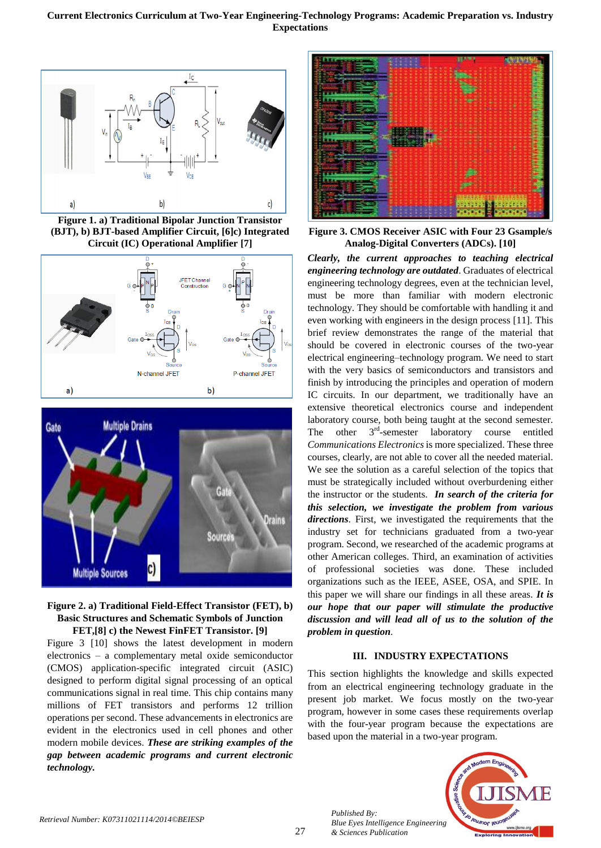

**Figure 1. a) Traditional Bipolar Junction Transistor (BJT), b) BJT-based Amplifier Circuit, [6]c) Integrated Circuit (IC) Operational Amplifier [7]**







Figure 3 [10] shows the latest development in modern electronics – a complementary metal oxide semiconductor (CMOS) application-specific integrated circuit (ASIC) designed to perform digital signal processing of an optical communications signal in real time. This chip contains many millions of FET transistors and performs 12 trillion operations per second. These advancements in electronics are evident in the electronics used in cell phones and other modern mobile devices. *These are striking examples of the gap between academic programs and current electronic technology.*



**Figure 3. CMOS Receiver ASIC with Four 23 Gsample/s Analog-Digital Converters (ADCs). [10]**

*Clearly, the current approaches to teaching electrical engineering technology are outdated*. Graduates of electrical engineering technology degrees, even at the technician level, must be more than familiar with modern electronic technology. They should be comfortable with handling it and even working with engineers in the design process [11]. This brief review demonstrates the range of the material that should be covered in electronic courses of the two-year electrical engineering–technology program. We need to start with the very basics of semiconductors and transistors and finish by introducing the principles and operation of modern IC circuits. In our department, we traditionally have an extensive theoretical electronics course and independent laboratory course, both being taught at the second semester. The other 3<sup>rd</sup>-semester laboratory course entitled *Communications Electronics* is more specialized. These three courses, clearly, are not able to cover all the needed material. We see the solution as a careful selection of the topics that must be strategically included without overburdening either the instructor or the students. *In search of the criteria for this selection, we investigate the problem from various directions*. First, we investigated the requirements that the industry set for technicians graduated from a two-year program. Second, we researched of the academic programs at other American colleges. Third, an examination of activities of professional societies was done. These included organizations such as the IEEE, ASEE, OSA, and SPIE. In this paper we will share our findings in all these areas. *It is our hope that our paper will stimulate the productive discussion and will lead all of us to the solution of the problem in question*.

# **III. INDUSTRY EXPECTATIONS**

This section highlights the knowledge and skills expected from an electrical engineering technology graduate in the present job market. We focus mostly on the two-year program, however in some cases these requirements overlap with the four-year program because the expectations are based upon the material in a two-year program.



*Published By:*

*& Sciences Publication*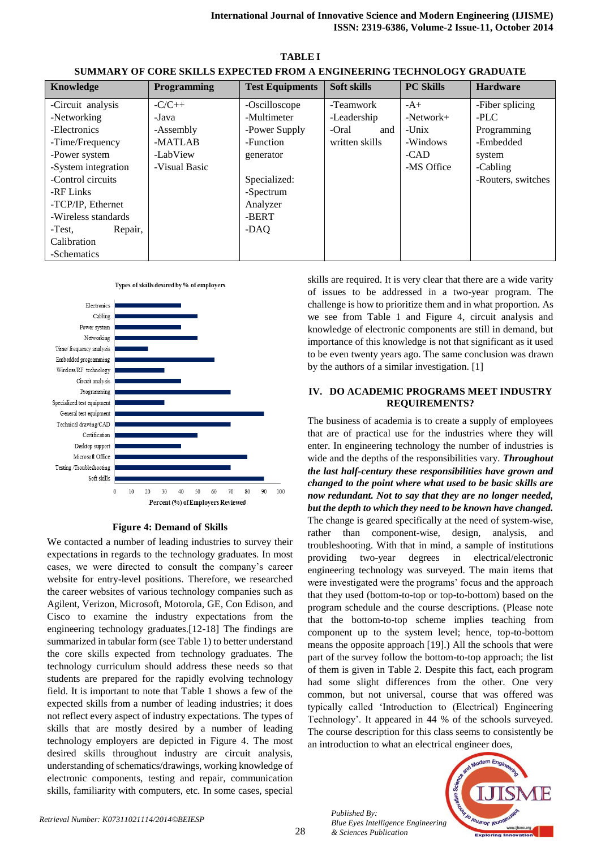| Knowledge           | Programming   | <b>Test Equipments</b> | Soft skills    | <b>PC Skills</b> | <b>Hardware</b>    |  |  |  |  |
|---------------------|---------------|------------------------|----------------|------------------|--------------------|--|--|--|--|
| -Circuit analysis   | $-C/C++$      | -Oscilloscope          | -Teamwork      | $-A+$            | -Fiber splicing    |  |  |  |  |
| -Networking         | -Java         | -Multimeter            | -Leadership    | $-Network+$      | $-PLC$             |  |  |  |  |
| -Electronics        | -Assembly     | -Power Supply          | -Oral<br>and   | $-$ Unix         | Programming        |  |  |  |  |
| -Time/Frequency     | -MATLAB       | -Function              | written skills | -Windows         | -Embedded          |  |  |  |  |
| -Power system       | -LabView      | generator              |                | $-CAD$           | system             |  |  |  |  |
| -System integration | -Visual Basic |                        |                | -MS Office       | -Cabling           |  |  |  |  |
| -Control circuits   |               | Specialized:           |                |                  | -Routers, switches |  |  |  |  |
| -RF Links           |               | -Spectrum              |                |                  |                    |  |  |  |  |
| -TCP/IP, Ethernet   |               | Analyzer               |                |                  |                    |  |  |  |  |
| -Wireless standards |               | -BERT                  |                |                  |                    |  |  |  |  |
| Repair,<br>-Test,   |               | -DAQ                   |                |                  |                    |  |  |  |  |
| Calibration         |               |                        |                |                  |                    |  |  |  |  |
| -Schematics         |               |                        |                |                  |                    |  |  |  |  |

**TABLE I SUMMARY OF CORE SKILLS EXPECTED FROM A ENGINEERING TECHNOLOGY GRADUATE**





# **Figure 4: Demand of Skills**

We contacted a number of leading industries to survey their expectations in regards to the technology graduates. In most cases, we were directed to consult the company's career website for entry-level positions. Therefore, we researched the career websites of various technology companies such as Agilent, Verizon, Microsoft, Motorola, GE, Con Edison, and Cisco to examine the industry expectations from the engineering technology graduates.[12-18] The findings are summarized in tabular form (see Table 1) to better understand the core skills expected from technology graduates. The technology curriculum should address these needs so that students are prepared for the rapidly evolving technology field. It is important to note that Table 1 shows a few of the expected skills from a number of leading industries; it does not reflect every aspect of industry expectations. The types of skills that are mostly desired by a number of leading technology employers are depicted in Figure 4. The most desired skills throughout industry are circuit analysis, understanding of schematics/drawings, working knowledge of electronic components, testing and repair, communication skills, familiarity with computers, etc. In some cases, special skills are required. It is very clear that there are a wide varity of issues to be addressed in a two-year program. The challenge is how to prioritize them and in what proportion. As we see from Table 1 and Figure 4, circuit analysis and knowledge of electronic components are still in demand, but importance of this knowledge is not that significant as it used to be even twenty years ago. The same conclusion was drawn by the authors of a similar investigation. [1]

## **IV. DO ACADEMIC PROGRAMS MEET INDUSTRY REQUIREMENTS?**

The business of academia is to create a supply of employees that are of practical use for the industries where they will enter. In engineering technology the number of industries is wide and the depths of the responsibilities vary. *Throughout the last half-century these responsibilities have grown and changed to the point where what used to be basic skills are now redundant. Not to say that they are no longer needed, but the depth to which they need to be known have changed.* The change is geared specifically at the need of system-wise, rather than component-wise, design, analysis, and troubleshooting. With that in mind, a sample of institutions providing two-year degrees in electrical/electronic engineering technology was surveyed. The main items that were investigated were the programs' focus and the approach that they used (bottom-to-top or top-to-bottom) based on the program schedule and the course descriptions. (Please note that the bottom-to-top scheme implies teaching from component up to the system level; hence, top-to-bottom means the opposite approach [19].) All the schools that were part of the survey follow the bottom-to-top approach; the list of them is given in Table 2. Despite this fact, each program had some slight differences from the other. One very common, but not universal, course that was offered was typically called 'Introduction to (Electrical) Engineering Technology'. It appeared in 44 % of the schools surveyed. The course description for this class seems to consistently be an introduction to what an electrical engineer does,



*Published By:*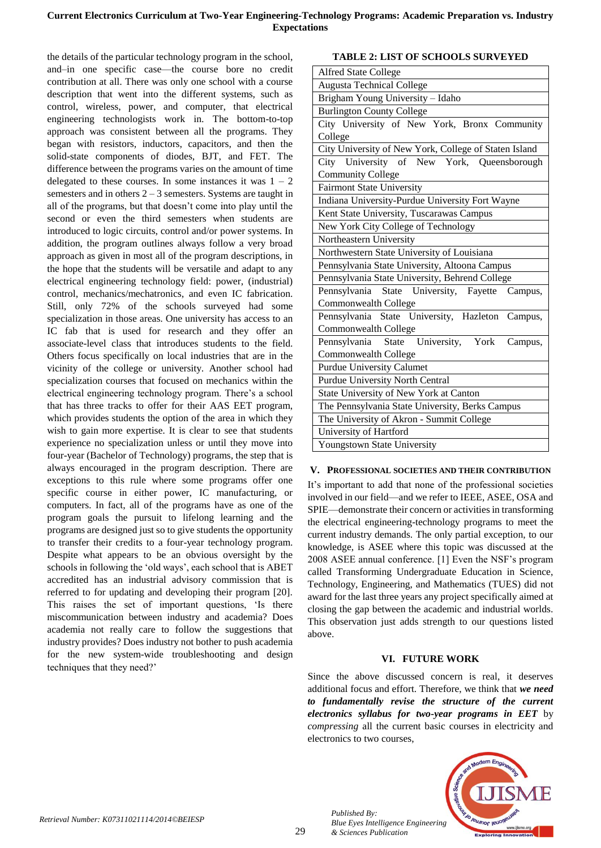# **Current Electronics Curriculum at Two-Year Engineering-Technology Programs: Academic Preparation vs. Industry Expectations**

the details of the particular technology program in the school, and–in one specific case—the course bore no credit contribution at all. There was only one school with a course description that went into the different systems, such as control, wireless, power, and computer, that electrical engineering technologists work in. The bottom-to-top approach was consistent between all the programs. They began with resistors, inductors, capacitors, and then the solid-state components of diodes, BJT, and FET. The difference between the programs varies on the amount of time delegated to these courses. In some instances it was  $1 - 2$ semesters and in others  $2 - 3$  semesters. Systems are taught in all of the programs, but that doesn't come into play until the second or even the third semesters when students are introduced to logic circuits, control and/or power systems. In addition, the program outlines always follow a very broad approach as given in most all of the program descriptions, in the hope that the students will be versatile and adapt to any electrical engineering technology field: power, (industrial) control, mechanics/mechatronics, and even IC fabrication. Still, only 72% of the schools surveyed had some specialization in those areas. One university has access to an IC fab that is used for research and they offer an associate-level class that introduces students to the field. Others focus specifically on local industries that are in the vicinity of the college or university. Another school had specialization courses that focused on mechanics within the electrical engineering technology program. There's a school that has three tracks to offer for their AAS EET program, which provides students the option of the area in which they wish to gain more expertise. It is clear to see that students experience no specialization unless or until they move into four-year (Bachelor of Technology) programs, the step that is always encouraged in the program description. There are exceptions to this rule where some programs offer one specific course in either power, IC manufacturing, or computers. In fact, all of the programs have as one of the program goals the pursuit to lifelong learning and the programs are designed just so to give students the opportunity to transfer their credits to a four-year technology program. Despite what appears to be an obvious oversight by the schools in following the 'old ways', each school that is ABET accredited has an industrial advisory commission that is referred to for updating and developing their program [20]. This raises the set of important questions, 'Is there miscommunication between industry and academia? Does academia not really care to follow the suggestions that industry provides? Does industry not bother to push academia for the new system-wide troubleshooting and design techniques that they need?'

|  |  | <b>TABLE 2: LIST OF SCHOOLS SURVEYED</b> |
|--|--|------------------------------------------|
|  |  |                                          |

| <b>Alfred State College</b>                           |  |  |  |  |  |  |
|-------------------------------------------------------|--|--|--|--|--|--|
| <b>Augusta Technical College</b>                      |  |  |  |  |  |  |
| Brigham Young University - Idaho                      |  |  |  |  |  |  |
| <b>Burlington County College</b>                      |  |  |  |  |  |  |
| City University of New York, Bronx Community          |  |  |  |  |  |  |
| College                                               |  |  |  |  |  |  |
| City University of New York, College of Staten Island |  |  |  |  |  |  |
| City University of New York, Queensborough            |  |  |  |  |  |  |
| <b>Community College</b>                              |  |  |  |  |  |  |
| <b>Fairmont State University</b>                      |  |  |  |  |  |  |
| Indiana University-Purdue University Fort Wayne       |  |  |  |  |  |  |
| Kent State University, Tuscarawas Campus              |  |  |  |  |  |  |
| New York City College of Technology                   |  |  |  |  |  |  |
| Northeastern University                               |  |  |  |  |  |  |
| Northwestern State University of Louisiana            |  |  |  |  |  |  |
| Pennsylvania State University, Altoona Campus         |  |  |  |  |  |  |
| Pennsylvania State University, Behrend College        |  |  |  |  |  |  |
| Pennsylvania State University, Fayette Campus,        |  |  |  |  |  |  |
| Commonwealth College                                  |  |  |  |  |  |  |
| Pennsylvania State University, Hazleton Campus,       |  |  |  |  |  |  |
| Commonwealth College                                  |  |  |  |  |  |  |
| Pennsylvania State University, York<br>Campus,        |  |  |  |  |  |  |
| Commonwealth College                                  |  |  |  |  |  |  |
| <b>Purdue University Calumet</b>                      |  |  |  |  |  |  |
| <b>Purdue University North Central</b>                |  |  |  |  |  |  |
| State University of New York at Canton                |  |  |  |  |  |  |
| The Pennsylvania State University, Berks Campus       |  |  |  |  |  |  |
| The University of Akron - Summit College              |  |  |  |  |  |  |
| University of Hartford                                |  |  |  |  |  |  |
| Youngstown State University                           |  |  |  |  |  |  |

# **V. PROFESSIONAL SOCIETIES AND THEIR CONTRIBUTION**

It's important to add that none of the professional societies involved in our field—and we refer to IEEE, ASEE, OSA and SPIE—demonstrate their concern or activities in transforming the electrical engineering-technology programs to meet the current industry demands. The only partial exception, to our knowledge, is ASEE where this topic was discussed at the 2008 ASEE annual conference. [1] Even the NSF's program called Transforming Undergraduate Education in Science, Technology, Engineering, and Mathematics (TUES) did not award for the last three years any project specifically aimed at closing the gap between the academic and industrial worlds. This observation just adds strength to our questions listed above.

# **VI. FUTURE WORK**

Since the above discussed concern is real, it deserves additional focus and effort. Therefore, we think that *we need to fundamentally revise the structure of the current electronics syllabus for two-year programs in EET* by *compressing* all the current basic courses in electricity and electronics to two courses,



*Published By:*

*& Sciences Publication*